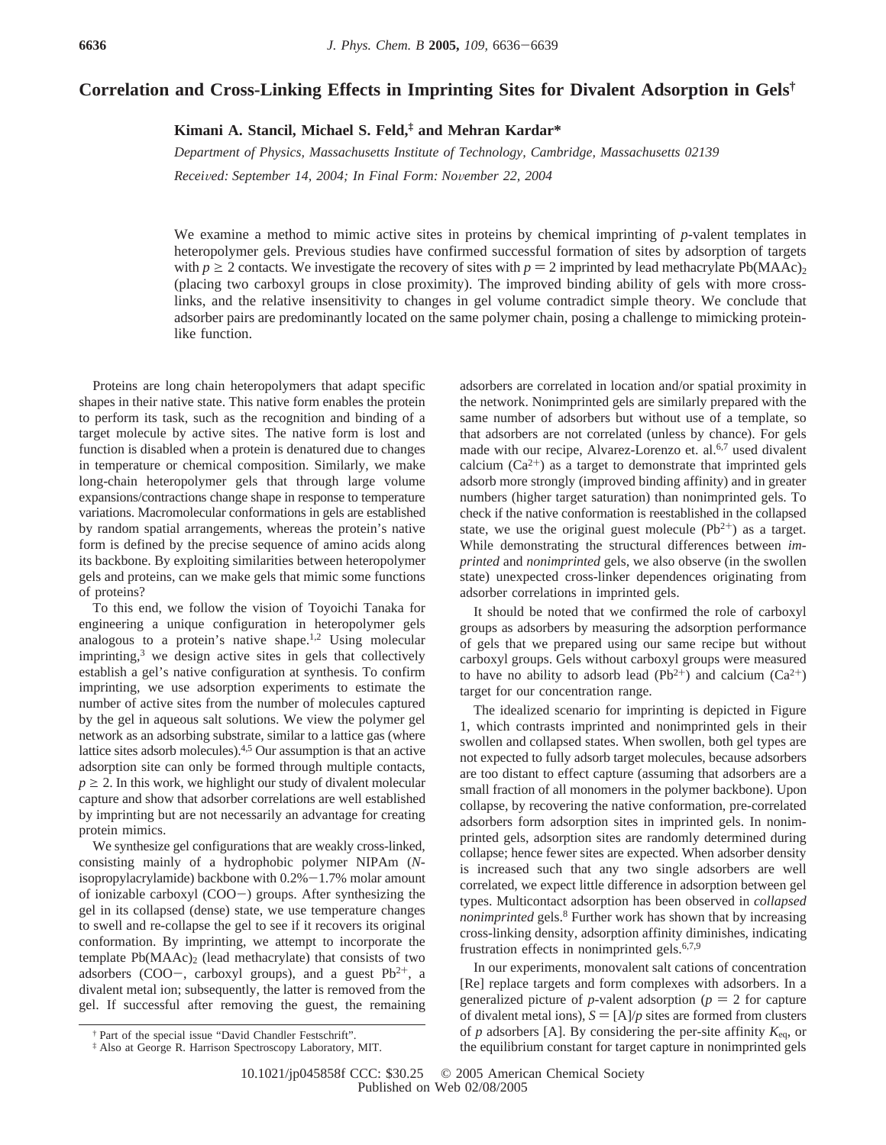## **Correlation and Cross-Linking Effects in Imprinting Sites for Divalent Adsorption in Gels†**

**Kimani A. Stancil, Michael S. Feld,‡ and Mehran Kardar\***

*Department of Physics, Massachusetts Institute of Technology, Cambridge, Massachusetts 02139 Recei*V*ed: September 14, 2004; In Final Form: No*V*ember 22, 2004*

We examine a method to mimic active sites in proteins by chemical imprinting of *p*-valent templates in heteropolymer gels. Previous studies have confirmed successful formation of sites by adsorption of targets with  $p \ge 2$  contacts. We investigate the recovery of sites with  $p = 2$  imprinted by lead methacrylate Pb(MAAc)<sub>2</sub> (placing two carboxyl groups in close proximity). The improved binding ability of gels with more crosslinks, and the relative insensitivity to changes in gel volume contradict simple theory. We conclude that adsorber pairs are predominantly located on the same polymer chain, posing a challenge to mimicking proteinlike function.

Proteins are long chain heteropolymers that adapt specific shapes in their native state. This native form enables the protein to perform its task, such as the recognition and binding of a target molecule by active sites. The native form is lost and function is disabled when a protein is denatured due to changes in temperature or chemical composition. Similarly, we make long-chain heteropolymer gels that through large volume expansions/contractions change shape in response to temperature variations. Macromolecular conformations in gels are established by random spatial arrangements, whereas the protein's native form is defined by the precise sequence of amino acids along its backbone. By exploiting similarities between heteropolymer gels and proteins, can we make gels that mimic some functions of proteins?

To this end, we follow the vision of Toyoichi Tanaka for engineering a unique configuration in heteropolymer gels analogous to a protein's native shape.<sup>1,2</sup> Using molecular imprinting, $3$  we design active sites in gels that collectively establish a gel's native configuration at synthesis. To confirm imprinting, we use adsorption experiments to estimate the number of active sites from the number of molecules captured by the gel in aqueous salt solutions. We view the polymer gel network as an adsorbing substrate, similar to a lattice gas (where lattice sites adsorb molecules).4,5 Our assumption is that an active adsorption site can only be formed through multiple contacts,  $p \ge 2$ . In this work, we highlight our study of divalent molecular capture and show that adsorber correlations are well established by imprinting but are not necessarily an advantage for creating protein mimics.

We synthesize gel configurations that are weakly cross-linked, consisting mainly of a hydrophobic polymer NIPAm (*N*isopropylacrylamide) backbone with 0.2%-1.7% molar amount of ionizable carboxyl (COO-) groups. After synthesizing the gel in its collapsed (dense) state, we use temperature changes to swell and re-collapse the gel to see if it recovers its original conformation. By imprinting, we attempt to incorporate the template  $Pb(MAAc)$  (lead methacrylate) that consists of two adsorbers (COO-, carboxyl groups), and a guest  $Pb^{2+}$ , a divalent metal ion; subsequently, the latter is removed from the gel. If successful after removing the guest, the remaining

adsorbers are correlated in location and/or spatial proximity in the network. Nonimprinted gels are similarly prepared with the same number of adsorbers but without use of a template, so that adsorbers are not correlated (unless by chance). For gels made with our recipe, Alvarez-Lorenzo et. al.<sup>6,7</sup> used divalent calcium  $(Ca^{2+})$  as a target to demonstrate that imprinted gels adsorb more strongly (improved binding affinity) and in greater numbers (higher target saturation) than nonimprinted gels. To check if the native conformation is reestablished in the collapsed state, we use the original guest molecule  $(Pb^{2+})$  as a target. While demonstrating the structural differences between *imprinted* and *nonimprinted* gels, we also observe (in the swollen state) unexpected cross-linker dependences originating from adsorber correlations in imprinted gels.

It should be noted that we confirmed the role of carboxyl groups as adsorbers by measuring the adsorption performance of gels that we prepared using our same recipe but without carboxyl groups. Gels without carboxyl groups were measured to have no ability to adsorb lead (Pb<sup>2+</sup>) and calcium (Ca<sup>2+</sup>) target for our concentration range.

The idealized scenario for imprinting is depicted in Figure 1, which contrasts imprinted and nonimprinted gels in their swollen and collapsed states. When swollen, both gel types are not expected to fully adsorb target molecules, because adsorbers are too distant to effect capture (assuming that adsorbers are a small fraction of all monomers in the polymer backbone). Upon collapse, by recovering the native conformation, pre-correlated adsorbers form adsorption sites in imprinted gels. In nonimprinted gels, adsorption sites are randomly determined during collapse; hence fewer sites are expected. When adsorber density is increased such that any two single adsorbers are well correlated, we expect little difference in adsorption between gel types. Multicontact adsorption has been observed in *collapsed nonimprinted* gels.8 Further work has shown that by increasing cross-linking density, adsorption affinity diminishes, indicating frustration effects in nonimprinted gels.6,7,9

In our experiments, monovalent salt cations of concentration [Re] replace targets and form complexes with adsorbers. In a generalized picture of *p*-valent adsorption ( $p = 2$  for capture of divalent metal ions),  $S = [A]/p$  sites are formed from clusters of *p* adsorbers [A]. By considering the per-site affinity *K*eq, or the equilibrium constant for target capture in nonimprinted gels

<sup>†</sup> Part of the special issue "David Chandler Festschrift".

<sup>‡</sup> Also at George R. Harrison Spectroscopy Laboratory, MIT.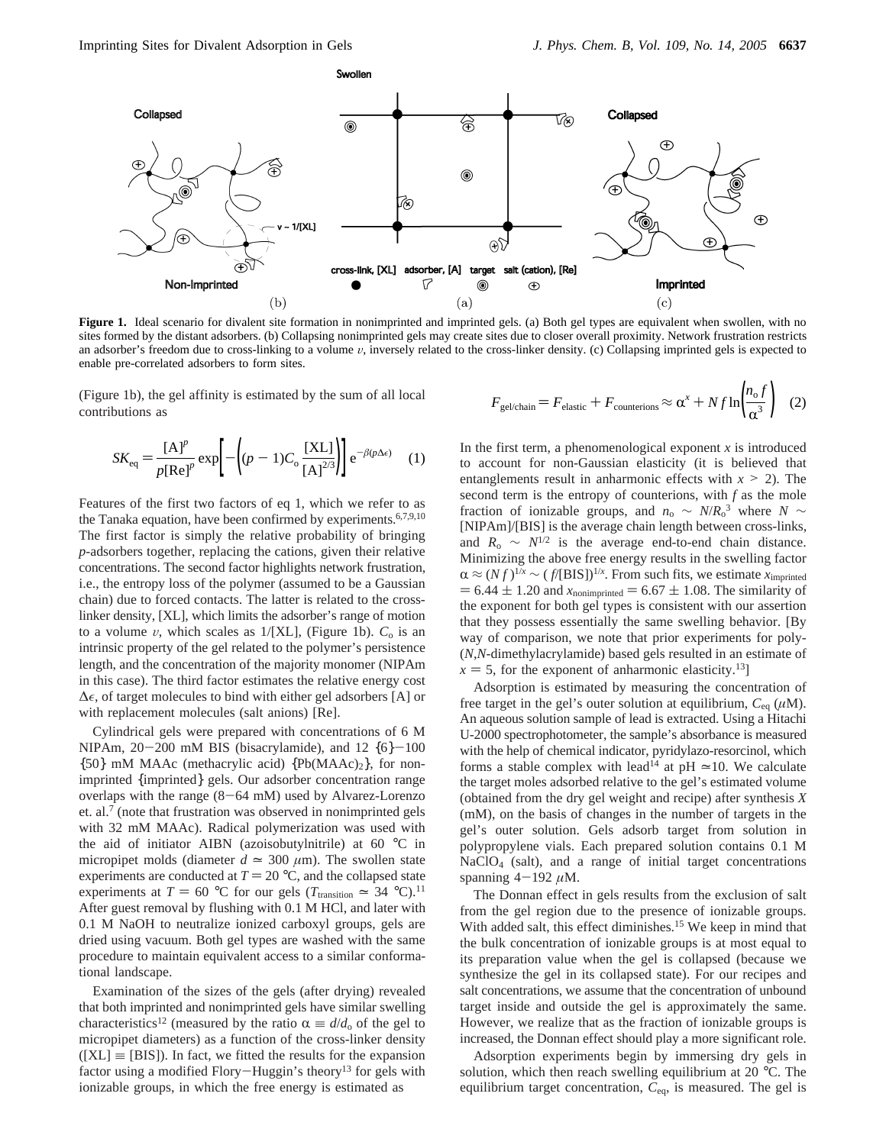

**Figure 1.** Ideal scenario for divalent site formation in nonimprinted and imprinted gels. (a) Both gel types are equivalent when swollen, with no sites formed by the distant adsorbers. (b) Collapsing nonimprinted gels may create sites due to closer overall proximity. Network frustration restricts an adsorber's freedom due to cross-linking to a volume v, inversely related to the cross-linker density. (c) Collapsing imprinted gels is expected to enable pre-correlated adsorbers to form sites.

(Figure 1b), the gel affinity is estimated by the sum of all local contributions as

$$
SK_{\text{eq}} = \frac{[A]^p}{p[\text{Re}]^p} \exp\left[-\left((p-1)C_0 \frac{[\text{KL}]}{[\text{A}]^{2/3}}\right)\right] e^{-\beta(p\Delta\epsilon)} \quad (1)
$$

Features of the first two factors of eq 1, which we refer to as the Tanaka equation, have been confirmed by experiments.<sup>6,7,9,10</sup> The first factor is simply the relative probability of bringing *p*-adsorbers together, replacing the cations, given their relative concentrations. The second factor highlights network frustration, i.e., the entropy loss of the polymer (assumed to be a Gaussian chain) due to forced contacts. The latter is related to the crosslinker density, [XL], which limits the adsorber's range of motion to a volume v, which scales as  $1/[XL]$ , (Figure 1b).  $C_0$  is an intrinsic property of the gel related to the polymer's persistence length, and the concentration of the majority monomer (NIPAm in this case). The third factor estimates the relative energy cost  $\Delta \epsilon$ , of target molecules to bind with either gel adsorbers [A] or with replacement molecules (salt anions) [Re].

Cylindrical gels were prepared with concentrations of 6 M NIPAm,  $20-200$  mM BIS (bisacrylamide), and  $12 \{6\} - 100$  ${50}$  mM MAAc (methacrylic acid)  ${Pb(MAAc)_2}$ , for nonimprinted {imprinted} gels. Our adsorber concentration range overlaps with the range (8-64 mM) used by Alvarez-Lorenzo et. al.7 (note that frustration was observed in nonimprinted gels with 32 mM MAAc). Radical polymerization was used with the aid of initiator AIBN (azoisobutylnitrile) at 60 °C in micropipet molds (diameter  $d \approx 300 \ \mu \text{m}$ ). The swollen state experiments are conducted at  $T = 20 \degree C$ , and the collapsed state experiments at  $T = 60$  °C for our gels ( $T_{transition} \approx 34$  °C).<sup>11</sup> After guest removal by flushing with 0.1 M HCl, and later with 0.1 M NaOH to neutralize ionized carboxyl groups, gels are dried using vacuum. Both gel types are washed with the same procedure to maintain equivalent access to a similar conformational landscape.

Examination of the sizes of the gels (after drying) revealed that both imprinted and nonimprinted gels have similar swelling characteristics<sup>12</sup> (measured by the ratio  $\alpha \equiv d/d_0$  of the gel to micropipet diameters) as a function of the cross-linker density  $([XL] \equiv [BIS])$ . In fact, we fitted the results for the expansion factor using a modified Flory-Huggin's theory<sup>13</sup> for gels with ionizable groups, in which the free energy is estimated as

$$
F_{\text{gel/chain}} = F_{\text{elastic}} + F_{\text{counterions}} \approx \alpha^x + Nf \ln \left( \frac{n_o f}{\alpha^3} \right) \tag{2}
$$

In the first term, a phenomenological exponent *x* is introduced to account for non-Gaussian elasticity (it is believed that entanglements result in anharmonic effects with  $x > 2$ ). The second term is the entropy of counterions, with *f* as the mole fraction of ionizable groups, and  $n_0 \sim N/R_0^3$  where  $N \sim$ [NIPAm]/[BIS] is the average chain length between cross-links, and  $R_0 \sim N^{1/2}$  is the average end-to-end chain distance. Minimizing the above free energy results in the swelling factor  $\alpha \approx (Nf)^{1/x} \sim (f/[BIS])^{1/x}$ . From such fits, we estimate *x*<sub>imprinted</sub><br>= 6.44 + 1.20 and *x*  $\cdots$   $\cdots$  = 6.67 + 1.08. The similarity of  $= 6.44 \pm 1.20$  and  $x_{nonimprinted} = 6.67 \pm 1.08$ . The similarity of the exponent for both gel types is consistent with our assertion that they possess essentially the same swelling behavior. [By way of comparison, we note that prior experiments for poly- (*N*,*N*-dimethylacrylamide) based gels resulted in an estimate of  $x = 5$ , for the exponent of anharmonic elasticity.<sup>13</sup>]

Adsorption is estimated by measuring the concentration of free target in the gel's outer solution at equilibrium,  $C_{eq}(\mu M)$ . An aqueous solution sample of lead is extracted. Using a Hitachi U-2000 spectrophotometer, the sample's absorbance is measured with the help of chemical indicator, pyridylazo-resorcinol, which forms a stable complex with lead<sup>14</sup> at pH  $\simeq$ 10. We calculate the target moles adsorbed relative to the gel's estimated volume (obtained from the dry gel weight and recipe) after synthesis *X* (mM), on the basis of changes in the number of targets in the gel's outer solution. Gels adsorb target from solution in polypropylene vials. Each prepared solution contains 0.1 M NaClO4 (salt), and a range of initial target concentrations spanning  $4-192 \mu M$ .

The Donnan effect in gels results from the exclusion of salt from the gel region due to the presence of ionizable groups. With added salt, this effect diminishes.<sup>15</sup> We keep in mind that the bulk concentration of ionizable groups is at most equal to its preparation value when the gel is collapsed (because we synthesize the gel in its collapsed state). For our recipes and salt concentrations, we assume that the concentration of unbound target inside and outside the gel is approximately the same. However, we realize that as the fraction of ionizable groups is increased, the Donnan effect should play a more significant role.

Adsorption experiments begin by immersing dry gels in solution, which then reach swelling equilibrium at 20 °C. The equilibrium target concentration, *C*eq, is measured. The gel is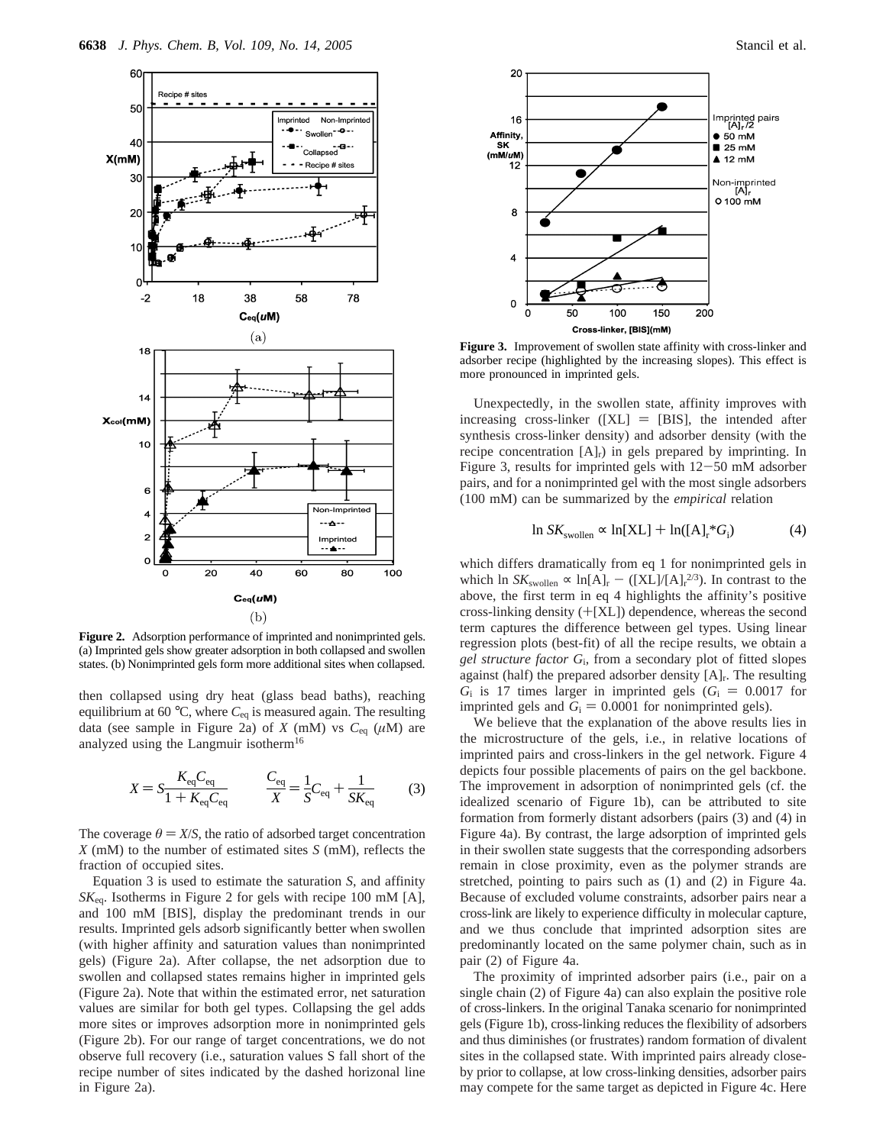

**Figure 2.** Adsorption performance of imprinted and nonimprinted gels. (a) Imprinted gels show greater adsorption in both collapsed and swollen states. (b) Nonimprinted gels form more additional sites when collapsed.

then collapsed using dry heat (glass bead baths), reaching equilibrium at 60 °C, where  $C_{eq}$  is measured again. The resulting data (see sample in Figure 2a) of *X* (mM) vs  $C_{eq}$  ( $\mu$ M) are analyzed using the Langmuir isotherm<sup>16</sup>

$$
X = S \frac{K_{\text{eq}} C_{\text{eq}}}{1 + K_{\text{eq}} C_{\text{eq}}} \qquad \frac{C_{\text{eq}}}{X} = \frac{1}{S} C_{\text{eq}} + \frac{1}{S K_{\text{eq}}} \qquad (3)
$$

The coverage  $\theta = X/S$ , the ratio of adsorbed target concentration *X* (mM) to the number of estimated sites *S* (mM), reflects the fraction of occupied sites.

Equation 3 is used to estimate the saturation *S*, and affinity *SK*eq. Isotherms in Figure 2 for gels with recipe 100 mM [A], and 100 mM [BIS], display the predominant trends in our results. Imprinted gels adsorb significantly better when swollen (with higher affinity and saturation values than nonimprinted gels) (Figure 2a). After collapse, the net adsorption due to swollen and collapsed states remains higher in imprinted gels (Figure 2a). Note that within the estimated error, net saturation values are similar for both gel types. Collapsing the gel adds more sites or improves adsorption more in nonimprinted gels (Figure 2b). For our range of target concentrations, we do not observe full recovery (i.e., saturation values S fall short of the recipe number of sites indicated by the dashed horizonal line in Figure 2a).



**Figure 3.** Improvement of swollen state affinity with cross-linker and adsorber recipe (highlighted by the increasing slopes). This effect is more pronounced in imprinted gels.

Unexpectedly, in the swollen state, affinity improves with increasing cross-linker  $([XL] = [BIS]$ , the intended after synthesis cross-linker density) and adsorber density (with the recipe concentration [A]r) in gels prepared by imprinting. In Figure 3, results for imprinted gels with 12-50 mM adsorber pairs, and for a nonimprinted gel with the most single adsorbers (100 mM) can be summarized by the *empirical* relation

$$
\ln SK_{\text{swollen}} \propto \ln[\text{XL}] + \ln([A]_{r}^{*}G_{i}) \tag{4}
$$

which differs dramatically from eq 1 for nonimprinted gels in which ln  $SK_{\text{swollen}} \propto \ln[A]_r - ([\text{XL}]/[A]_r^{2/3})$ . In contrast to the above the first term in eq 4 highlights the affinity's positive above, the first term in eq 4 highlights the affinity's positive cross-linking density (+[XL]) dependence, whereas the second term captures the difference between gel types. Using linear regression plots (best-fit) of all the recipe results, we obtain a *gel structure factor G*i, from a secondary plot of fitted slopes against (half) the prepared adsorber density  $[A]_r$ . The resulting  $G_i$  is 17 times larger in imprinted gels  $(G_i = 0.0017$  for imprinted gels and  $G_i = 0.0001$  for nonimprinted gels).

We believe that the explanation of the above results lies in the microstructure of the gels, i.e., in relative locations of imprinted pairs and cross-linkers in the gel network. Figure 4 depicts four possible placements of pairs on the gel backbone. The improvement in adsorption of nonimprinted gels (cf. the idealized scenario of Figure 1b), can be attributed to site formation from formerly distant adsorbers (pairs (3) and (4) in Figure 4a). By contrast, the large adsorption of imprinted gels in their swollen state suggests that the corresponding adsorbers remain in close proximity, even as the polymer strands are stretched, pointing to pairs such as (1) and (2) in Figure 4a. Because of excluded volume constraints, adsorber pairs near a cross-link are likely to experience difficulty in molecular capture, and we thus conclude that imprinted adsorption sites are predominantly located on the same polymer chain, such as in pair (2) of Figure 4a.

The proximity of imprinted adsorber pairs (i.e., pair on a single chain (2) of Figure 4a) can also explain the positive role of cross-linkers. In the original Tanaka scenario for nonimprinted gels (Figure 1b), cross-linking reduces the flexibility of adsorbers and thus diminishes (or frustrates) random formation of divalent sites in the collapsed state. With imprinted pairs already closeby prior to collapse, at low cross-linking densities, adsorber pairs may compete for the same target as depicted in Figure 4c. Here